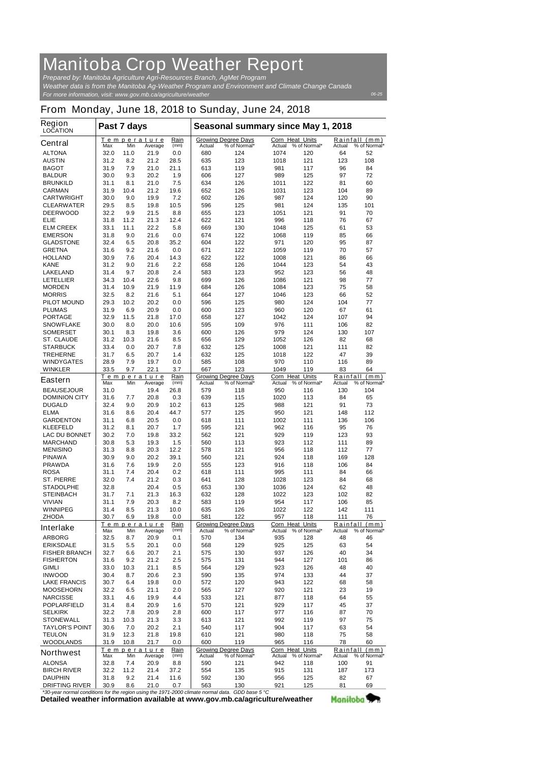## **Manitoba Crop Weather Report**

*For more information, visit: www.gov.mb.ca/agriculture/weather Prepared by: Manitoba Agriculture Agri-Resources Branch, AgMet Program Weather data is from the Manitoba Ag-Weather Program and Environment and Climate Change Canada*

## **From Monday, June 18, 2018 to Sunday, June 24, 2018**

| <b>Region</b><br><b>LOCATION</b>                                              | Past 7 days  |             |                       |              | Seasonal summary since May 1, 2018 |                                            |                                  |                     |               |                               |
|-------------------------------------------------------------------------------|--------------|-------------|-----------------------|--------------|------------------------------------|--------------------------------------------|----------------------------------|---------------------|---------------|-------------------------------|
| <b>Central</b>                                                                | Τ<br>Max     | Min         | emperature<br>Average | Rain<br>(mm) | Actual                             | <b>Growing Degree Days</b><br>% of Normal* | <b>Corn Heat Units</b><br>Actual | % of Normal*        | Actual        | Rainfall (mm)<br>% of Normal* |
| <b>ALTONA</b>                                                                 | 32.0         | 11.0        | 21.9                  | 0.0          | 680                                | 124                                        | 1074                             | 120                 | 64            | 52                            |
| <b>AUSTIN</b>                                                                 | 31.2         | 8.2         | 21.2                  | 28.5         | 635                                | 123                                        | 1018                             | 121                 | 123           | 108                           |
| <b>BAGOT</b>                                                                  | 31.9         | 7.9         | 21.0                  | 21.1         | 613                                | 119                                        | 981                              | 117                 | 96            | 84                            |
| <b>BALDUR</b>                                                                 | 30.0         | 9.3         | 20.2                  | 1.9          | 606                                | 127                                        | 989                              | 125                 | 97            | 72                            |
| <b>BRUNKILD</b><br><b>CARMAN</b>                                              | 31.1<br>31.9 | 8.1<br>10.4 | 21.0<br>21.2          | 7.5<br>19.6  | 634<br>652                         | 126<br>126                                 | 1011<br>1031                     | 122<br>123          | 81<br>104     | 60<br>89                      |
| <b>CARTWRIGHT</b>                                                             | 30.0         | 9.0         | 19.9                  | 7.2          | 602                                | 126                                        | 987                              | 124                 | 120           | 90                            |
| <b>CLEARWATER</b>                                                             | 29.5         | 8.5         | 19.8                  | 10.5         | 596                                | 125                                        | 981                              | 124                 | 135           | 101                           |
| <b>DEERWOOD</b>                                                               | 32.2         | 9.9         | 21.5                  | 8.8          | 655                                | 123                                        | 1051                             | 121                 | 91            | 70                            |
| <b>ELIE</b>                                                                   | 31.8         | 11.2        | 21.3                  | 12.4         | 622                                | 121                                        | 996                              | 118                 | 76            | 67                            |
| <b>ELM CREEK</b>                                                              | 33.1         | 11.1        | 22.2                  | 5.8          | 669                                | 130                                        | 1048                             | 125                 | 61            | 53                            |
| <b>EMERSON</b>                                                                | 31.8         | 9.0         | 21.6                  | 0.0          | 674                                | 122                                        | 1068                             | 119                 | 85            | 66                            |
| <b>GLADSTONE</b>                                                              | 32.4         | 6.5         | 20.8                  | 35.2         | 604                                | 122                                        | 971                              | 120                 | 95            | 87                            |
| <b>GRETNA</b><br><b>HOLLAND</b>                                               | 31.6<br>30.9 | 9.2<br>7.6  | 21.6<br>20.4          | 0.0<br>14.3  | 671<br>622                         | 122<br>122                                 | 1059<br>1008                     | 119<br>121          | 70<br>86      | 57<br>66                      |
| <b>KANE</b>                                                                   | 31.2         | 9.0         | 21.6                  | 2.2          | 658                                | 126                                        | 1044                             | 123                 | 54            | 43                            |
| <b>LAKELAND</b>                                                               | 31.4         | 9.7         | 20.8                  | 2.4          | 583                                | 123                                        | 952                              | 123                 | 56            | 48                            |
| <b>LETELLIER</b>                                                              | 34.3         | 10.4        | 22.6                  | 9.8          | 699                                | 126                                        | 1086                             | 121                 | 98            | 77                            |
| <b>MORDEN</b>                                                                 | 31.4         | 10.9        | 21.9                  | 11.9         | 684                                | 126                                        | 1084                             | 123                 | 75            | 58                            |
| <b>MORRIS</b>                                                                 | 32.5         | 8.2         | 21.6                  | 5.1          | 664                                | 127                                        | 1046                             | 123                 | 66            | 52                            |
| <b>PILOT MOUND</b>                                                            | 29.3         | 10.2        | 20.2                  | 0.0          | 596                                | 125                                        | 980                              | 124                 | 104           | 77                            |
| <b>PLUMAS</b>                                                                 | 31.9         | 6.9         | 20.9                  | 0.0          | 600                                | 123                                        | 960                              | 120                 | 67            | 61                            |
| <b>PORTAGE</b>                                                                | 32.9         | 11.5        | 21.8                  | 17.0         | 658                                | 127                                        | 1042                             | 124                 | 107           | 94                            |
| <b>SNOWFLAKE</b>                                                              | 30.0         | 8.0         | 20.0                  | 10.6         | 595                                | 109                                        | 976                              | 111                 | 106           | 82                            |
| <b>SOMERSET</b><br><b>ST. CLAUDE</b>                                          | 30.1<br>31.2 | 8.3<br>10.3 | 19.8<br>21.6          | 3.6<br>8.5   | 600<br>656                         | 126<br>129                                 | 979<br>1052                      | 124<br>126          | 130<br>82     | 107<br>68                     |
| <b>STARBUCK</b>                                                               | 33.4         | 0.0         | 20.7                  | 7.8          | 632                                | 125                                        | 1008                             | 121                 | 111           | 82                            |
| <b>TREHERNE</b>                                                               | 31.7         | 6.5         | 20.7                  | 1.4          | 632                                | 125                                        | 1018                             | 122                 | 47            | 39                            |
| <b>WINDYGATES</b>                                                             | 28.9         | 7.9         | 19.7                  | 0.0          | 585                                | 108                                        | 970                              | 110                 | 116           | 89                            |
| <b>WINKLER</b>                                                                | 33.5         | 9.7         | 22.1                  | 3.7          | 667                                | 123                                        | 1049                             | 119                 | 83            | 64                            |
| <b>Eastern</b>                                                                |              |             | Temperature           | Rain         |                                    | <b>Growing Degree Days</b>                 | <b>Corn Heat Units</b>           |                     |               | Rainfall (mm)                 |
|                                                                               | Max          | Min         | Average               | (mm)         | Actual                             | % of Normal*                               | Actual                           | % of Normal*        | Actual        | % of Normal*                  |
| <b>BEAUSEJOUR</b>                                                             | 31.0         |             | 19.4                  | 26.8         | 579                                | 118                                        | 950                              | 116                 | 130           | 104                           |
| <b>DOMINION CITY</b>                                                          | 31.6         | 7.7         | 20.8                  | 0.3          | 639                                | 115                                        | 1020                             | 113                 | 84<br>91      | 65<br>73                      |
| <b>DUGALD</b><br><b>ELMA</b>                                                  | 32.4<br>31.6 | 9.0<br>8.6  | 20.9<br>20.4          | 10.2<br>44.7 | 613<br>577                         | 125<br>125                                 | 988<br>950                       | 121<br>121          | 148           | 112                           |
| <b>GARDENTON</b>                                                              | 31.1         | 6.8         | 20.5                  | 0.0          | 618                                | 111                                        | 1002                             | 111                 | 136           | 106                           |
| <b>KLEEFELD</b>                                                               | 31.2         | 8.1         | 20.7                  | 1.7          | 595                                | 121                                        | 962                              | 116                 | 95            | 76                            |
| <b>LAC DU BONNET</b>                                                          | 30.2         | 7.0         | 19.8                  | 33.2         | 562                                | 121                                        | 929                              | 119                 | 123           | 93                            |
| <b>MARCHAND</b>                                                               | 30.8         | 5.3         | 19.3                  | 1.5          | 560                                | 113                                        | 923                              | 112                 | 111           | 89                            |
| <b>MENISINO</b>                                                               | 31.3         | 8.8         | 20.3                  | 12.2         | 578                                | 121                                        | 956                              | 118                 | 112           | 77                            |
| <b>PINAWA</b>                                                                 | 30.9         | 9.0         | 20.2                  | 39.1         | 560                                | 121                                        | 924                              | 118                 | 169           | 128                           |
| <b>PRAWDA</b>                                                                 | 31.6         | 7.6         | 19.9                  | 2.0          | 555                                | 123                                        | 916                              | 118                 | 106           | 84                            |
| <b>ROSA</b>                                                                   | 31.1         | 7.4         | 20.4                  | 0.2          | 618                                | 111                                        | 995                              | 111                 | 84            | 66                            |
| <b>ST. PIERRE</b><br><b>STADOLPHE</b>                                         | 32.0         | 7.4         | 21.2<br>20.4          | 0.3<br>0.5   | 641<br>653                         | 128<br>130                                 | 1028<br>1036                     | 123<br>124          | 84<br>62      | 68<br>48                      |
| <b>STEINBACH</b>                                                              | 32.8<br>31.7 | 7.1         | 21.3                  | 16.3         | 632                                | 128                                        | 1022                             | 123                 | 102           | 82                            |
| <b>VIVIAN</b>                                                                 | 31.1         | 7.9         | 20.3                  | 8.2          | 583                                | 119                                        | 954                              | 117                 | 106           | 85                            |
| <b>WINNIPEG</b>                                                               | 31.4         | 8.5         | 21.3                  | 10.0         | 635                                | 126                                        | 1022                             | 122                 | 142           | 111                           |
| <b>ZHODA</b>                                                                  | 30.7         | 6.9         | 19.8                  | 0.0          | 581                                | 122                                        | 957                              | 118                 | 111           | 76                            |
| <b>Interlake</b>                                                              |              |             | Temperature           | Rain         |                                    | <b>Growing Degree Days</b>                 | Corn Heat Units                  |                     | Rainfall      | (mm)                          |
|                                                                               | Max          | Min         | Average               | (mm)         | Actual                             | % of Normal*                               | Actual                           | % of Normal*        | Actual        | % of Normal*                  |
| <b>ARBORG</b><br><b>ERIKSDALE</b>                                             | 32.5<br>31.5 | 8.7<br>5.5  | 20.9<br>20.1          | 0.1<br>0.0   | 570<br>568                         | 134<br>129                                 | 935<br>925                       | 128<br>125          | 48<br>63      | 46<br>54                      |
| <b>FISHER BRANCH</b>                                                          | 32.7         | 6.6         | 20.7                  | 2.1          | 575                                | 130                                        | 937                              | 126                 | 40            | 34                            |
| <b>FISHERTON</b>                                                              | 31.6         | 9.2         | 21.2                  | 2.5          | 575                                | 131                                        | 944                              | 127                 | 101           | 86                            |
| <b>GIMLI</b>                                                                  | 33.0         | 10.3        | 21.1                  | 8.5          | 564                                | 129                                        | 923                              | 126                 | 48            | 40                            |
| <b>INWOOD</b>                                                                 | 30.4         | 8.7         | 20.6                  | 2.3          | 590                                | 135                                        | 974                              | 133                 | 44            | 37                            |
| <b>LAKE FRANCIS</b>                                                           | 30.7         | 6.4         | 19.8                  | 0.0          | 572                                | 120                                        | 943                              | 122                 | 68            | 58                            |
| <b>MOOSEHORN</b>                                                              | 32.2         | 6.5         | 21.1                  | 2.0          | 565                                | 127                                        | 920                              | 121                 | 23            | 19                            |
| <b>NARCISSE</b>                                                               | 33.1         | 4.6         | 19.9                  | 4.4          | 533                                | 121                                        | 877                              | 118                 | 64            | 55                            |
| <b>POPLARFIELD</b>                                                            | 31.4         | 8.4         | 20.9                  | 1.6          | 570                                | 121                                        | 929                              | 117                 | 45            | 37                            |
| <b>SELKIRK</b>                                                                | 32.2         | 7.8         | 20.9                  | 2.8          | 600                                | 117                                        | 977                              | 116                 | 87            | 70                            |
| <b>STONEWALL</b>                                                              | 31.3         | 10.3        | 21.3                  | 3.3          | 613                                | 121                                        | 992                              | 119                 | 97            | 75                            |
| <b>TAYLOR'S POINT</b><br><b>TEULON</b>                                        | 30.6<br>31.9 | 7.0<br>12.3 | 20.2<br>21.8          | 2.1<br>19.8  | 540<br>610                         | 117<br>121                                 | 904<br>980                       | 117<br>118          | 63<br>75      | 54<br>58                      |
| <b>WOODLANDS</b>                                                              | 31.9         | 10.8        | 21.7                  | 0.0          | 600                                | 119                                        | 965                              | 116                 | 78            | 60                            |
| <b>Northwest</b>                                                              |              |             | Temperature           | Rain         |                                    | <b>Growing Degree Days</b>                 | Corn Heat Units                  |                     |               | Rainfall (mm)                 |
| <b>ALONSA</b>                                                                 | Max<br>32.8  | Min<br>7.4  | Average<br>20.9       | (mm)<br>8.8  | Actual<br>590                      | % of Normal*<br>121                        | Actual<br>942                    | % of Normal*<br>118 | Actual<br>100 | % of Normal*<br>91            |
| <b>BIRCH RIVER</b>                                                            | 32.2         | 11.2        | 21.4                  | 37.2         | 554                                | 135                                        | 915                              | 131                 | 187           | 173                           |
| <b>DAUPHIN</b>                                                                | 31.8         | 9.2         | 21.4                  | 11.6         | 592                                | 130                                        | 956                              | 125                 | 82            | 67                            |
| <b>DRIFTING RIVER</b>                                                         | 30.9         | 8.6         | 21.0                  | 0.7          | 563                                | 130                                        | 921                              | 125                 | 81            | 69                            |
| rear normal conditions for the region using the 1071,2000 climate normal data |              |             |                       |              |                                    | $CDD$ has $E \, \Omega$                    |                                  |                     |               |                               |

**Detailed weather information available at www.gov.mb.ca/agriculture/weather** *\*30-year normal conditions for the region using the 1971-2000 climate normal data. GDD base 5 °C* 

Manitoba<sup>y</sup>